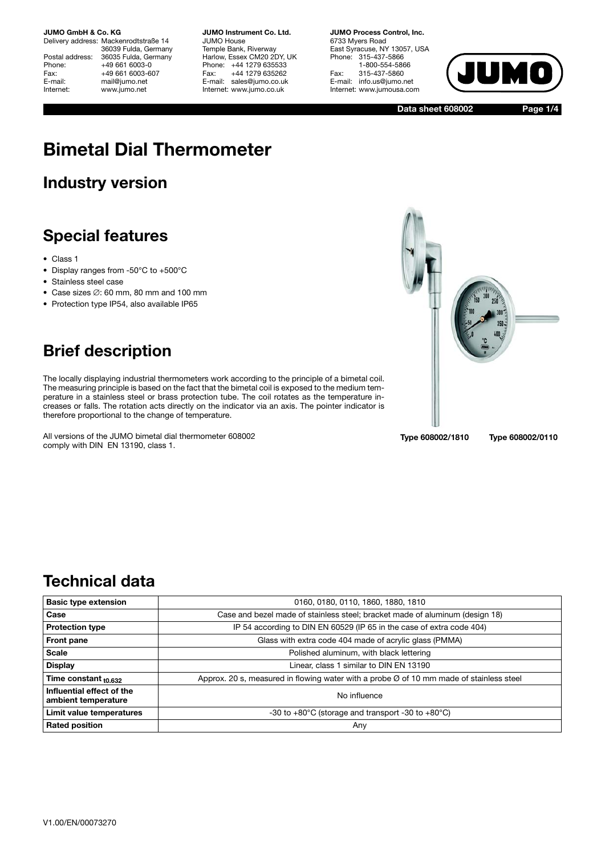Delivery address: Mackenrodtstraße 14 36039 Fulda, Germany Postal address: 36035 Fulda, Germany<br>Phone: +49 661 6003-0 Phone: +49 661 6003-0<br>Fax: +49 661 6003-6 Fax: +49 661 6003-607<br>E-mail: mail@iumo.net mail@jumo.net Internet: www.jumo.net

**JUMO Instrument Co. Ltd.** JUMO House Temple Bank, Riverway Harlow, Essex CM20 2DY, UK Phone: +44 1279 635533<br>Fax: +44 1279 635262 +44 1279 635262 E-mail: sales@jumo.co.uk Internet: www.jumo.co.uk

**JUMO Process Control, Inc.** 6733 Myers Road East Syracuse, NY 13057, USA Phone: 315-437-5866 1-800-554-5866 Fax: 315-437-5860 E-mail: info.us@jumo.net Internet: www.jumousa.com



**Data sheet 608002**

**Page 1/4**

# **Bimetal Dial Thermometer**

# **Industry version**

# **Special features**

- Class 1
- Display ranges from -50°C to +500°C
- Stainless steel case
- Case sizes ∅: 60 mm, 80 mm and 100 mm
- Protection type IP54, also available IP65



# **Brief description**

The locally displaying industrial thermometers work according to the principle of a bimetal coil. The measuring principle is based on the fact that the bimetal coil is exposed to the medium temperature in a stainless steel or brass protection tube. The coil rotates as the temperature increases or falls. The rotation acts directly on the indicator via an axis. The pointer indicator is therefore proportional to the change of temperature.

All versions of the JUMO bimetal dial thermometer 608002 comply with DIN EN 13190, class 1.

**Type 608002/1810 Type 608002/0110**

# **Technical data**

| <b>Basic type extension</b>                                                                     | 0160, 0180, 0110, 1860, 1880, 1810                                                                  |  |  |
|-------------------------------------------------------------------------------------------------|-----------------------------------------------------------------------------------------------------|--|--|
| Case                                                                                            | Case and bezel made of stainless steel; bracket made of aluminum (design 18)                        |  |  |
| IP 54 according to DIN EN 60529 (IP 65 in the case of extra code 404)<br><b>Protection type</b> |                                                                                                     |  |  |
| Glass with extra code 404 made of acrylic glass (PMMA)<br>Front pane                            |                                                                                                     |  |  |
| <b>Scale</b>                                                                                    | Polished aluminum, with black lettering                                                             |  |  |
| <b>Display</b>                                                                                  | Linear, class 1 similar to DIN EN 13190                                                             |  |  |
| Time constant <sub>t0.632</sub>                                                                 | Approx. 20 s, measured in flowing water with a probe $\varnothing$ of 10 mm made of stainless steel |  |  |
| Influential effect of the<br>ambient temperature                                                | No influence                                                                                        |  |  |
| Limit value temperatures                                                                        | -30 to $+80^{\circ}$ C (storage and transport -30 to $+80^{\circ}$ C)                               |  |  |
| <b>Rated position</b>                                                                           | Any                                                                                                 |  |  |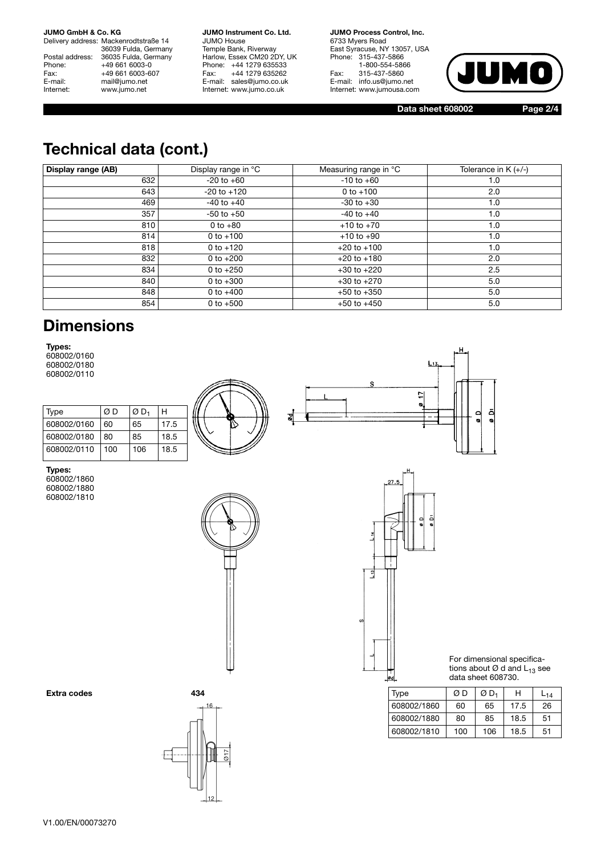Delivery address: Mackenrodtstraße 14 36039 Fulda, Germany Postal address: 36035 Fulda, Germany<br>Phone: +49 661 6003-0 Phone: +49 661 6003-0<br>Fax: +49 661 6003-6 Fax: +49 661 6003-607<br>E-mail: mail@jumo.net E-mail: mail@jumo.net<br>
Internet: www.iumo.net www.jumo.net

**JUMO Instrument Co. Ltd.** JUMO House Temple Bank, Riverway Harlow, Essex CM20 2DY, UK Phone: +44 1279 635533<br>Fax: +44 1279 635262 +44 1279 635262 E-mail: sales@jumo.co.uk Internet: www.jumo.co.uk

**JUMO Process Control, Inc.** 6733 Myers Road East Syracuse, NY 13057, USA Phone: 315-437-5866 1-800-554-5866 Fax: 315-437-5860 E-mail: info.us@jumo.net Internet: www.jumousa.com



**Data sheet 608002 Page 2/4**

# **Technical data (cont.)**

| Display range (AB) | Display range in °C | Measuring range in °C | Tolerance in $K (+/-)$ |
|--------------------|---------------------|-----------------------|------------------------|
| 632                | $-20$ to $+60$      | $-10$ to $+60$        | 1.0                    |
| 643                | $-20$ to $+120$     | 0 to $+100$           | 2.0                    |
| 469                | $-40$ to $+40$      | $-30$ to $+30$        | 1.0                    |
| 357                | $-50$ to $+50$      | $-40$ to $+40$        | 1.0                    |
| 810                | 0 to $+80$          | $+10$ to $+70$        | 1.0                    |
| 814                | $0 to +100$         | $+10$ to $+90$        | 1.0                    |
| 818                | $0$ to $+120$       | $+20$ to $+100$       | 1.0                    |
| 832                | 0 to $+200$         | $+20$ to $+180$       | 2.0                    |
| 834                | 0 to $+250$         | $+30$ to $+220$       | 2.5                    |
| 840                | 0 to $+300$         | $+30$ to $+270$       | 5.0                    |
| 848                | 0 to $+400$         | $+50$ to $+350$       | 5.0                    |
| 854                | 0 to $+500$         | $+50$ to $+450$       | 5.0                    |

### **Dimensions**

**Types:**

608002/0160 608002/0180 608002/0110

| Type        | ØD  | ØD, | н    |  |
|-------------|-----|-----|------|--|
| 608002/0160 | 60  | 65  | 17.5 |  |
| 608002/0180 | 80  | 85  | 18.5 |  |
| 608002/0110 | 100 | 106 | 18.5 |  |

뇌  $\bullet$ ā  $\frac{0}{2}$ 8d  $\ddot{\phantom{0}}$ 

**Types:**

608002/1860 608002/1880 608002/1810



27.  $\frac{1}{2}$  $\frac{1}{2}$ 

For dimensional specifications about  $\varnothing$  d and  $\mathsf{L}_{13}$  see data sheet 608730.

| Extra codes | 434   | Type        | ØΒ  | ØD <sub>1</sub> | Н                    | ∟14 |
|-------------|-------|-------------|-----|-----------------|----------------------|-----|
|             | $-16$ | 608002/1860 | 60  | 65              | $\sqrt{7}$<br>ں. ، ، | 26  |
|             |       | 608002/1880 | 80  | 85              | 18.5                 | 51  |
|             | JN.   | 608002/1810 | 100 | 106             | 18.5                 | 51  |



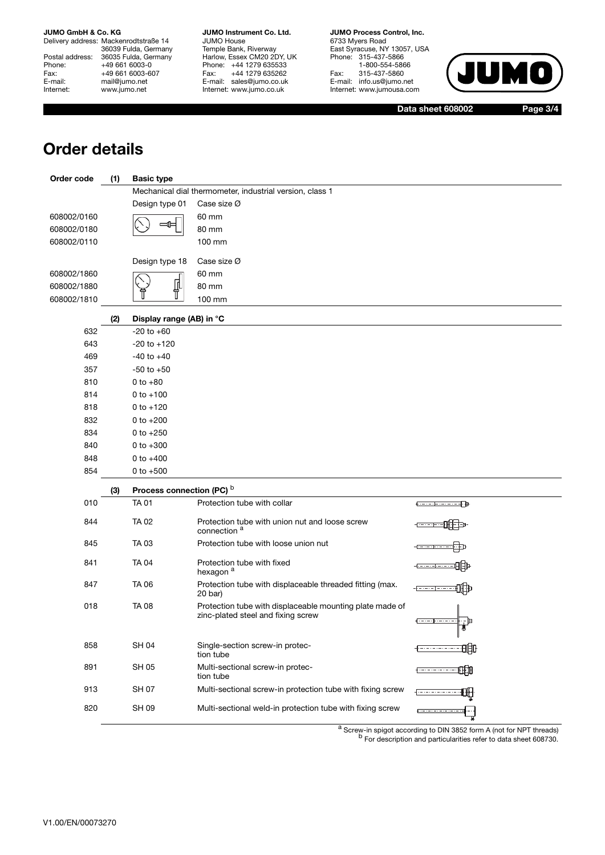Delivery address: Mackenrodtstraße 14 36039 Fulda, Germany Postal address: 36035 Fulda, Germany Phone: +49 661 6003-0<br>Fax: +49 661 6003-60 Fax: +49 661 6003-607<br>E-mail: mail@jumo.net E-mail: mail@jumo.net<br>
Internet: www.iumo.net www.jumo.net

**JUMO Instrument Co. Ltd.** JUMO House Temple Bank, Riverway Harlow, Essex CM20 2DY, UK Phone: +44 1279 635533<br>Fax: +44 1279 635262 +44 1279 635262 E-mail: sales@jumo.co.uk Internet: www.jumo.co.uk

**JUMO Process Control, Inc.** 6733 Myers Road East Syracuse, NY 13057, USA Phone: 315-437-5866 1-800-554-5866 Fax: 315-437-5860 E-mail: info.us@jumo.net Internet: www.jumousa.com



**Data sheet 608002 Page 3/4**

# **Order details**

| Order code  | (1) | <b>Basic type</b>                                        |                                                                                                |                        |  |  |  |
|-------------|-----|----------------------------------------------------------|------------------------------------------------------------------------------------------------|------------------------|--|--|--|
|             |     | Mechanical dial thermometer, industrial version, class 1 |                                                                                                |                        |  |  |  |
|             |     | Design type 01                                           | Case size $\varnothing$                                                                        |                        |  |  |  |
| 608002/0160 |     |                                                          | 60 mm                                                                                          |                        |  |  |  |
| 608002/0180 |     |                                                          | 80 mm                                                                                          |                        |  |  |  |
| 608002/0110 |     |                                                          | 100 mm                                                                                         |                        |  |  |  |
|             |     | Design type 18                                           | Case size Ø                                                                                    |                        |  |  |  |
| 608002/1860 |     |                                                          | 60 mm                                                                                          |                        |  |  |  |
| 608002/1880 |     | ⋔                                                        | 80 mm                                                                                          |                        |  |  |  |
| 608002/1810 |     |                                                          | 100 mm                                                                                         |                        |  |  |  |
|             | (2) | Display range (AB) in °C                                 |                                                                                                |                        |  |  |  |
| 632         |     | $-20$ to $+60$                                           |                                                                                                |                        |  |  |  |
| 643         |     | $-20$ to $+120$                                          |                                                                                                |                        |  |  |  |
| 469         |     | $-40$ to $+40$                                           |                                                                                                |                        |  |  |  |
| 357         |     | $-50$ to $+50$                                           |                                                                                                |                        |  |  |  |
| 810         |     | $0 to +80$                                               |                                                                                                |                        |  |  |  |
| 814         |     | $0 to +100$                                              |                                                                                                |                        |  |  |  |
| 818         |     | $0 to +120$                                              |                                                                                                |                        |  |  |  |
| 832         |     | 0 to $+200$                                              |                                                                                                |                        |  |  |  |
| 834         |     | 0 to $+250$                                              |                                                                                                |                        |  |  |  |
| 840         |     | 0 to $+300$                                              |                                                                                                |                        |  |  |  |
| 848         |     | 0 to $+400$                                              |                                                                                                |                        |  |  |  |
| 854         |     | 0 to $+500$                                              |                                                                                                |                        |  |  |  |
|             | (3) | Process connection (PC) b                                |                                                                                                |                        |  |  |  |
| 010         |     | <b>TA 01</b>                                             | Protection tube with collar                                                                    | <del>00000000000</del> |  |  |  |
| 844         |     | <b>TA 02</b>                                             | Protection tube with union nut and loose screw<br>connection <sup>a</sup>                      |                        |  |  |  |
| 845         |     | TA 03                                                    | Protection tube with loose union nut                                                           |                        |  |  |  |
| 841         |     | <b>TA 04</b>                                             | Protection tube with fixed<br>hexagon <sup>a</sup>                                             |                        |  |  |  |
| 847         |     | TA 06                                                    | Protection tube with displaceable threaded fitting (max.<br>$20$ bar)                          |                        |  |  |  |
| 018         |     | <b>TA 08</b>                                             | Protection tube with displaceable mounting plate made of<br>zinc-plated steel and fixing screw | - IP                   |  |  |  |
| 858         |     | <b>SH 04</b>                                             | Single-section screw-in protec-<br>tion tube                                                   | -----------            |  |  |  |
| 891         |     | <b>SH 05</b>                                             | Multi-sectional screw-in protec-<br>tion tube                                                  | 帕<br>. <del></del>     |  |  |  |
| 913         |     | <b>SH 07</b>                                             | Multi-sectional screw-in protection tube with fixing screw                                     |                        |  |  |  |
| 820         |     | <b>SH 09</b>                                             | Multi-sectional weld-in protection tube with fixing screw                                      | <b>Expression</b>      |  |  |  |

<sup>a</sup> Screw-in spigot according to DIN 3852 form A (not for NPT threads) b For description and particularities refer to data sheet 608730.